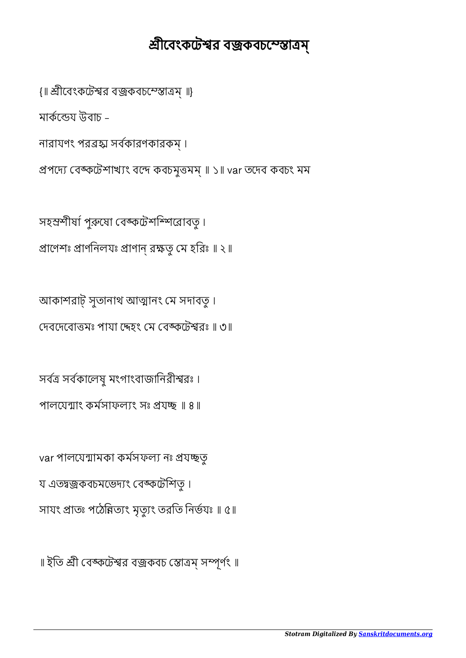॥ ইতি শ্রী বেঙ্কটেশ্বর বজ্রকবচ স্তোত্রম্ সম্পূর্ণং ॥

var পালযেন্মামকা কৰ্মসফল্য নঃ প্ৰযচ্ছতু য এতন্বজ্রকবচমভেদ্যং বেঙ্কটেশিতু। সাযং প্রাতঃ পঠেন্নিত্যং মৃত্যুং তরতি নির্ভযঃ ॥ ৫॥

সব সবকােলষু মংগাংবাজািনরীরঃ । পালযেন্মাং কৰ্মসাফল্যং সঃ প্ৰযচ্ছ ॥ ৪॥

আকাশরাট্ সুতানাথ আত্মানং মে সদাবতু। দেবদেবোত্তমঃ পাযা দ্দেহং মে বেঙ্কটেশ্বরঃ ॥ ৩॥

সহস্রশীৰ্ষা পুরুষো বেঙ্কটেশশ্সিরোবতু। প্রাণেশঃ প্রাণনিলযঃ প্রাণান্ রক্ষতু মে হরিঃ ॥ ২॥

প্ৰপদ্যে বেঙ্কটেশাখ্যং বন্দে কবচমুত্তমম্ ॥ ১॥ var তদেব কবচং মম

নারাযণং পর সবকারণকারকম্ ।

মাৰ্কন্ডেয় উবাচ –

{॥ শ্রীবেংকটেশ্বর বজ্রকবচম্স্তোত্রম্॥}

## শ্রীবেংকটেশ্বর বজ্রকবচম্স্তোত্রম্